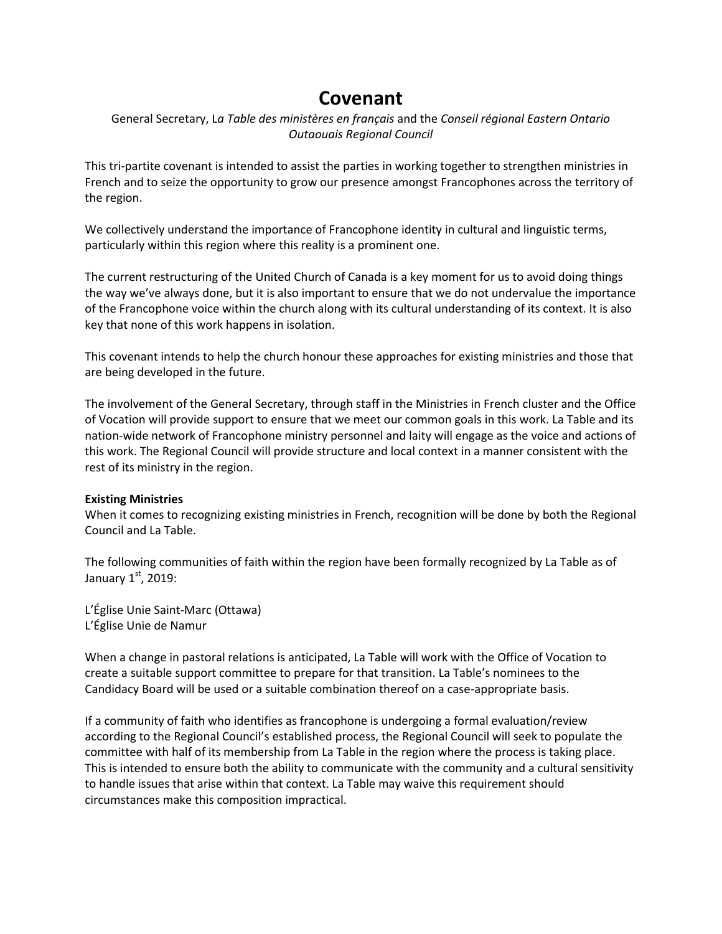# **Covenant**

# General Secretary, L*a Table des ministères en français* and the *Conseil régional Eastern Ontario Outaouais Regional Council*

This tri-partite covenant is intended to assist the parties in working together to strengthen ministries in French and to seize the opportunity to grow our presence amongst Francophones across the territory of the region.

We collectively understand the importance of Francophone identity in cultural and linguistic terms, particularly within this region where this reality is a prominent one.

The current restructuring of the United Church of Canada is a key moment for us to avoid doing things the way we've always done, but it is also important to ensure that we do not undervalue the importance of the Francophone voice within the church along with its cultural understanding of its context. It is also key that none of this work happens in isolation.

This covenant intends to help the church honour these approaches for existing ministries and those that are being developed in the future.

The involvement of the General Secretary, through staff in the Ministries in French cluster and the Office of Vocation will provide support to ensure that we meet our common goals in this work. La Table and its nation-wide network of Francophone ministry personnel and laity will engage as the voice and actions of this work. The Regional Council will provide structure and local context in a manner consistent with the rest of its ministry in the region.

# **Existing Ministries**

When it comes to recognizing existing ministries in French, recognition will be done by both the Regional Council and La Table.

The following communities of faith within the region have been formally recognized by La Table as of January  $1<sup>st</sup>$ , 2019:

L'Église Unie Saint-Marc (Ottawa) L'Église Unie de Namur

When a change in pastoral relations is anticipated, La Table will work with the Office of Vocation to create a suitable support committee to prepare for that transition. La Table's nominees to the Candidacy Board will be used or a suitable combination thereof on a case-appropriate basis.

If a community of faith who identifies as francophone is undergoing a formal evaluation/review according to the Regional Council's established process, the Regional Council will seek to populate the committee with half of its membership from La Table in the region where the process is taking place. This is intended to ensure both the ability to communicate with the community and a cultural sensitivity to handle issues that arise within that context. La Table may waive this requirement should circumstances make this composition impractical.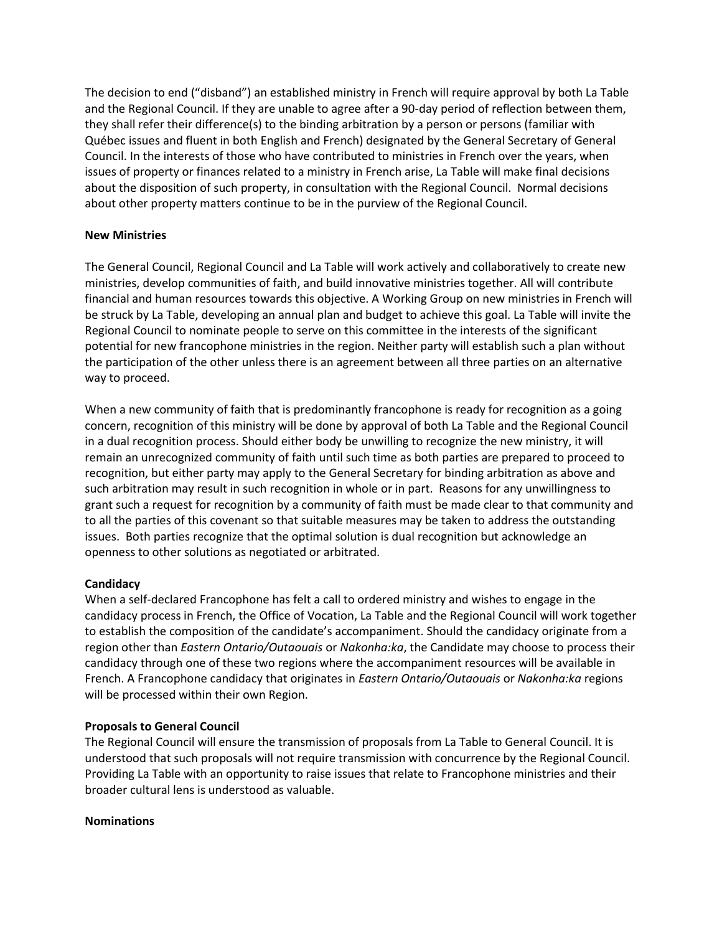The decision to end ("disband") an established ministry in French will require approval by both La Table and the Regional Council. If they are unable to agree after a 90-day period of reflection between them, they shall refer their difference(s) to the binding arbitration by a person or persons (familiar with Québec issues and fluent in both English and French) designated by the General Secretary of General Council. In the interests of those who have contributed to ministries in French over the years, when issues of property or finances related to a ministry in French arise, La Table will make final decisions about the disposition of such property, in consultation with the Regional Council. Normal decisions about other property matters continue to be in the purview of the Regional Council.

## **New Ministries**

The General Council, Regional Council and La Table will work actively and collaboratively to create new ministries, develop communities of faith, and build innovative ministries together. All will contribute financial and human resources towards this objective. A Working Group on new ministries in French will be struck by La Table, developing an annual plan and budget to achieve this goal. La Table will invite the Regional Council to nominate people to serve on this committee in the interests of the significant potential for new francophone ministries in the region. Neither party will establish such a plan without the participation of the other unless there is an agreement between all three parties on an alternative way to proceed.

When a new community of faith that is predominantly francophone is ready for recognition as a going concern, recognition of this ministry will be done by approval of both La Table and the Regional Council in a dual recognition process. Should either body be unwilling to recognize the new ministry, it will remain an unrecognized community of faith until such time as both parties are prepared to proceed to recognition, but either party may apply to the General Secretary for binding arbitration as above and such arbitration may result in such recognition in whole or in part. Reasons for any unwillingness to grant such a request for recognition by a community of faith must be made clear to that community and to all the parties of this covenant so that suitable measures may be taken to address the outstanding issues. Both parties recognize that the optimal solution is dual recognition but acknowledge an openness to other solutions as negotiated or arbitrated.

## **Candidacy**

When a self-declared Francophone has felt a call to ordered ministry and wishes to engage in the candidacy process in French, the Office of Vocation, La Table and the Regional Council will work together to establish the composition of the candidate's accompaniment. Should the candidacy originate from a region other than *Eastern Ontario/Outaouais* or *Nakonha:ka*, the Candidate may choose to process their candidacy through one of these two regions where the accompaniment resources will be available in French. A Francophone candidacy that originates in *Eastern Ontario/Outaouais* or *Nakonha:ka* regions will be processed within their own Region.

## **Proposals to General Council**

The Regional Council will ensure the transmission of proposals from La Table to General Council. It is understood that such proposals will not require transmission with concurrence by the Regional Council. Providing La Table with an opportunity to raise issues that relate to Francophone ministries and their broader cultural lens is understood as valuable.

## **Nominations**